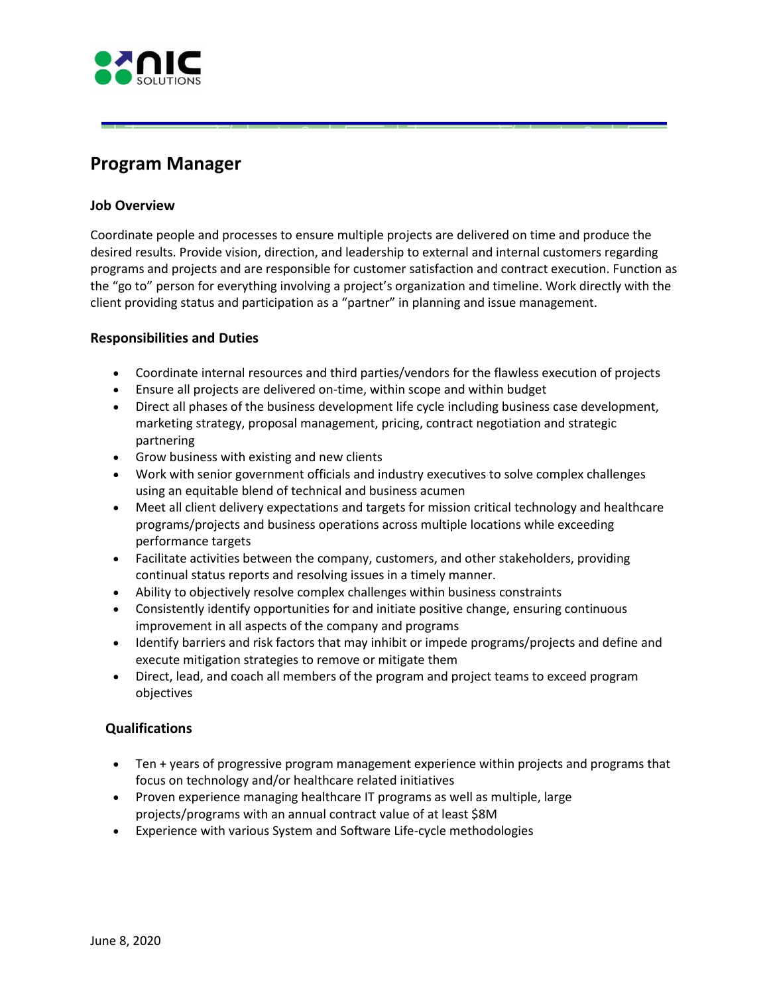

# **Program Manager**

# **Job Overview**

Coordinate people and processes to ensure multiple projects are delivered on time and produce the desired results. Provide vision, direction, and leadership to external and internal customers regarding programs and projects and are responsible for customer satisfaction and contract execution. Function as the "go to" person for everything involving a project's organization and timeline. Work directly with the client providing status and participation as a "partner" in planning and issue management.

# **Responsibilities and Duties**

- Coordinate internal resources and third parties/vendors for the flawless execution of projects
- Ensure all projects are delivered on-time, within scope and within budget
- Direct all phases of the business development life cycle including business case development, marketing strategy, proposal management, pricing, contract negotiation and strategic partnering
- Grow business with existing and new clients

**-1i.ESC::::::.** 

- Work with senior government officials and industry executives to solve complex challenges using an equitable blend of technical and business acumen
- Meet all client delivery expectations and targets for mission critical technology and healthcare programs/projects and business operations across multiple locations while exceeding performance targets
- Facilitate activities between the company, customers, and other stakeholders, providing continual status reports and resolving issues in a timely manner.
- Ability to objectively resolve complex challenges within business constraints
- Consistently identify opportunities for and initiate positive change, ensuring continuous improvement in all aspects of the company and programs
- Identify barriers and risk factors that may inhibit or impede programs/projects and define and execute mitigation strategies to remove or mitigate them
- Direct, lead, and coach all members of the program and project teams to exceed program objectives

### **Qualifications**

- Ten + years of progressive program management experience within projects and programs that focus on technology and/or healthcare related initiatives
- Proven experience managing healthcare IT programs as well as multiple, large projects/programs with an annual contract value of at least \$8M
- Experience with various System and Software Life-cycle methodologies